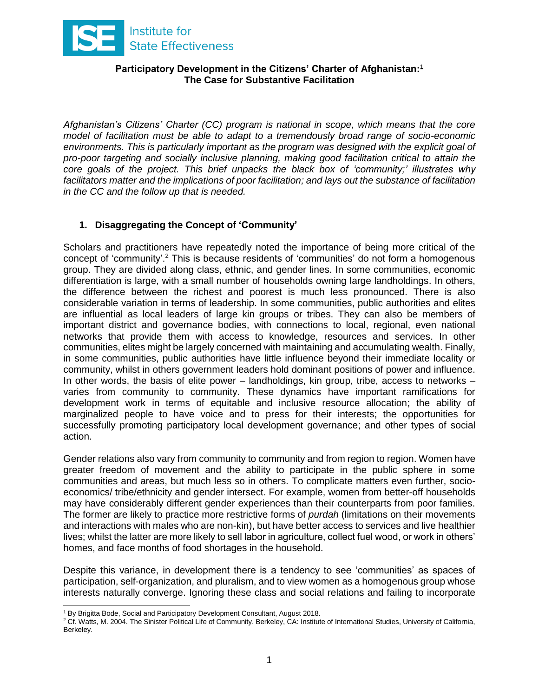

#### **Participatory Development in the Citizens' Charter of Afghanistan:** 1 **The Case for Substantive Facilitation**

*Afghanistan's Citizens' Charter (CC) program is national in scope, which means that the core model of facilitation must be able to adapt to a tremendously broad range of socio-economic environments. This is particularly important as the program was designed with the explicit goal of pro-poor targeting and socially inclusive planning, making good facilitation critical to attain the core goals of the project. This brief unpacks the black box of 'community;' illustrates why facilitators matter and the implications of poor facilitation; and lays out the substance of facilitation in the CC and the follow up that is needed.* 

# **1. Disaggregating the Concept of 'Community'**

Scholars and practitioners have repeatedly noted the importance of being more critical of the concept of 'community'.<sup>2</sup> This is because residents of 'communities' do not form a homogenous group. They are divided along class, ethnic, and gender lines. In some communities, economic differentiation is large, with a small number of households owning large landholdings. In others, the difference between the richest and poorest is much less pronounced. There is also considerable variation in terms of leadership. In some communities, public authorities and elites are influential as local leaders of large kin groups or tribes. They can also be members of important district and governance bodies, with connections to local, regional, even national networks that provide them with access to knowledge, resources and services. In other communities, elites might be largely concerned with maintaining and accumulating wealth. Finally, in some communities, public authorities have little influence beyond their immediate locality or community, whilst in others government leaders hold dominant positions of power and influence. In other words, the basis of elite power – landholdings, kin group, tribe, access to networks – varies from community to community. These dynamics have important ramifications for development work in terms of equitable and inclusive resource allocation; the ability of marginalized people to have voice and to press for their interests; the opportunities for successfully promoting participatory local development governance; and other types of social action.

Gender relations also vary from community to community and from region to region. Women have greater freedom of movement and the ability to participate in the public sphere in some communities and areas, but much less so in others. To complicate matters even further, socioeconomics/ tribe/ethnicity and gender intersect. For example, women from better-off households may have considerably different gender experiences than their counterparts from poor families. The former are likely to practice more restrictive forms of *purdah* (limitations on their movements and interactions with males who are non-kin), but have better access to services and live healthier lives; whilst the latter are more likely to sell labor in agriculture, collect fuel wood, or work in others' homes, and face months of food shortages in the household.

Despite this variance, in development there is a tendency to see 'communities' as spaces of participation, self-organization, and pluralism, and to view women as a homogenous group whose interests naturally converge. Ignoring these class and social relations and failing to incorporate

 $\overline{a}$ <sup>1</sup> By Brigitta Bode, Social and Participatory Development Consultant, August 2018.

<sup>&</sup>lt;sup>2</sup> Cf. Watts, M. 2004. The Sinister Political Life of Community. Berkeley, CA: Institute of International Studies, University of California, Berkeley.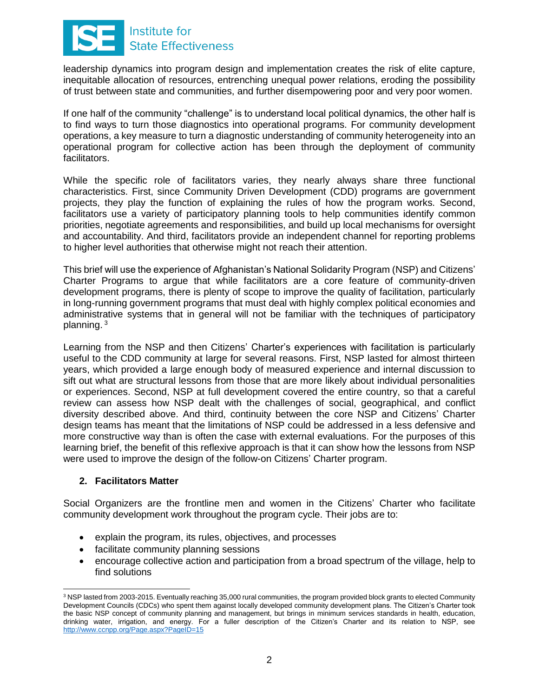

leadership dynamics into program design and implementation creates the risk of elite capture, inequitable allocation of resources, entrenching unequal power relations, eroding the possibility of trust between state and communities, and further disempowering poor and very poor women.

If one half of the community "challenge" is to understand local political dynamics, the other half is to find ways to turn those diagnostics into operational programs. For community development operations, a key measure to turn a diagnostic understanding of community heterogeneity into an operational program for collective action has been through the deployment of community facilitators.

While the specific role of facilitators varies, they nearly always share three functional characteristics. First, since Community Driven Development (CDD) programs are government projects, they play the function of explaining the rules of how the program works. Second, facilitators use a variety of participatory planning tools to help communities identify common priorities, negotiate agreements and responsibilities, and build up local mechanisms for oversight and accountability. And third, facilitators provide an independent channel for reporting problems to higher level authorities that otherwise might not reach their attention.

This brief will use the experience of Afghanistan's National Solidarity Program (NSP) and Citizens' Charter Programs to argue that while facilitators are a core feature of community-driven development programs, there is plenty of scope to improve the quality of facilitation, particularly in long-running government programs that must deal with highly complex political economies and administrative systems that in general will not be familiar with the techniques of participatory planning. <sup>3</sup>

Learning from the NSP and then Citizens' Charter's experiences with facilitation is particularly useful to the CDD community at large for several reasons. First, NSP lasted for almost thirteen years, which provided a large enough body of measured experience and internal discussion to sift out what are structural lessons from those that are more likely about individual personalities or experiences. Second, NSP at full development covered the entire country, so that a careful review can assess how NSP dealt with the challenges of social, geographical, and conflict diversity described above. And third, continuity between the core NSP and Citizens' Charter design teams has meant that the limitations of NSP could be addressed in a less defensive and more constructive way than is often the case with external evaluations. For the purposes of this learning brief, the benefit of this reflexive approach is that it can show how the lessons from NSP were used to improve the design of the follow-on Citizens' Charter program.

# **2. Facilitators Matter**

Social Organizers are the frontline men and women in the Citizens' Charter who facilitate community development work throughout the program cycle. Their jobs are to:

- explain the program, its rules, objectives, and processes
- facilitate community planning sessions
- encourage collective action and participation from a broad spectrum of the village, help to find solutions

 <sup>3</sup> NSP lasted from 2003-2015. Eventually reaching 35,000 rural communities, the program provided block grants to elected Community Development Councils (CDCs) who spent them against locally developed community development plans. The Citizen's Charter took the basic NSP concept of community planning and management, but brings in minimum services standards in health, education, drinking water, irrigation, and energy. For a fuller description of the Citizen's Charter and its relation to NSP, see <http://www.ccnpp.org/Page.aspx?PageID=15>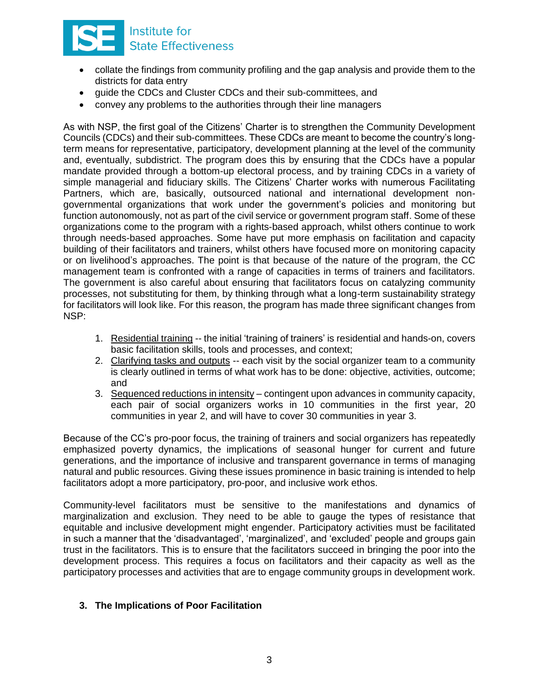

- collate the findings from community profiling and the gap analysis and provide them to the districts for data entry
- guide the CDCs and Cluster CDCs and their sub-committees, and
- convey any problems to the authorities through their line managers

As with NSP, the first goal of the Citizens' Charter is to strengthen the Community Development Councils (CDCs) and their sub-committees. These CDCs are meant to become the country's longterm means for representative, participatory, development planning at the level of the community and, eventually, subdistrict. The program does this by ensuring that the CDCs have a popular mandate provided through a bottom-up electoral process, and by training CDCs in a variety of simple managerial and fiduciary skills. The Citizens' Charter works with numerous Facilitating Partners, which are, basically, outsourced national and international development nongovernmental organizations that work under the government's policies and monitoring but function autonomously, not as part of the civil service or government program staff. Some of these organizations come to the program with a rights-based approach, whilst others continue to work through needs-based approaches. Some have put more emphasis on facilitation and capacity building of their facilitators and trainers, whilst others have focused more on monitoring capacity or on livelihood's approaches. The point is that because of the nature of the program, the CC management team is confronted with a range of capacities in terms of trainers and facilitators. The government is also careful about ensuring that facilitators focus on catalyzing community processes, not substituting for them, by thinking through what a long-term sustainability strategy for facilitators will look like. For this reason, the program has made three significant changes from NSP:

- 1. Residential training -- the initial 'training of trainers' is residential and hands-on, covers basic facilitation skills, tools and processes, and context;
- 2. Clarifying tasks and outputs -- each visit by the social organizer team to a community is clearly outlined in terms of what work has to be done: objective, activities, outcome; and
- 3. Sequenced reductions in intensity contingent upon advances in community capacity, each pair of social organizers works in 10 communities in the first year, 20 communities in year 2, and will have to cover 30 communities in year 3.

Because of the CC's pro-poor focus, the training of trainers and social organizers has repeatedly emphasized poverty dynamics, the implications of seasonal hunger for current and future generations, and the importance of inclusive and transparent governance in terms of managing natural and public resources. Giving these issues prominence in basic training is intended to help facilitators adopt a more participatory, pro-poor, and inclusive work ethos.

Community-level facilitators must be sensitive to the manifestations and dynamics of marginalization and exclusion. They need to be able to gauge the types of resistance that equitable and inclusive development might engender. Participatory activities must be facilitated in such a manner that the 'disadvantaged', 'marginalized', and 'excluded' people and groups gain trust in the facilitators. This is to ensure that the facilitators succeed in bringing the poor into the development process. This requires a focus on facilitators and their capacity as well as the participatory processes and activities that are to engage community groups in development work.

# **3. The Implications of Poor Facilitation**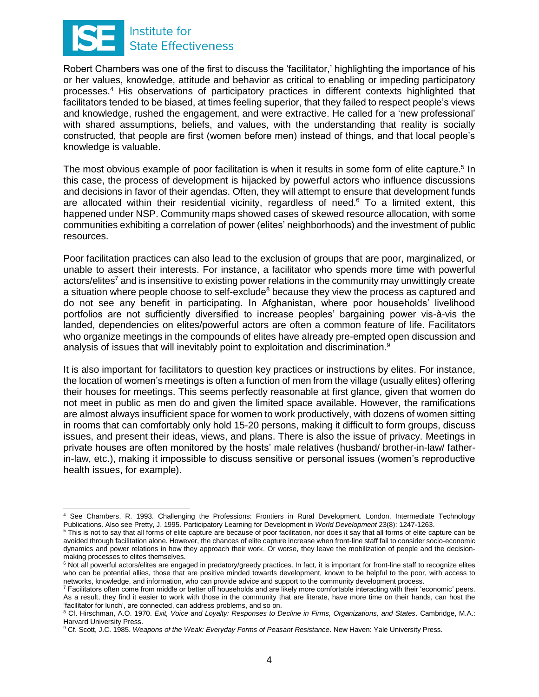

Robert Chambers was one of the first to discuss the 'facilitator,' highlighting the importance of his or her values, knowledge, attitude and behavior as critical to enabling or impeding participatory processes.<sup>4</sup> His observations of participatory practices in different contexts highlighted that facilitators tended to be biased, at times feeling superior, that they failed to respect people's views and knowledge, rushed the engagement, and were extractive. He called for a 'new professional' with shared assumptions, beliefs, and values, with the understanding that reality is socially constructed, that people are first (women before men) instead of things, and that local people's knowledge is valuable.

The most obvious example of poor facilitation is when it results in some form of elite capture.<sup>5</sup> In this case, the process of development is hijacked by powerful actors who influence discussions and decisions in favor of their agendas. Often, they will attempt to ensure that development funds are allocated within their residential vicinity, regardless of need.<sup>6</sup> To a limited extent, this happened under NSP. Community maps showed cases of skewed resource allocation, with some communities exhibiting a correlation of power (elites' neighborhoods) and the investment of public resources.

Poor facilitation practices can also lead to the exclusion of groups that are poor, marginalized, or unable to assert their interests. For instance, a facilitator who spends more time with powerful actors/elites<sup>7</sup> and is insensitive to existing power relations in the community may unwittingly create a situation where people choose to self-exclude<sup>8</sup> because they view the process as captured and do not see any benefit in participating. In Afghanistan, where poor households' livelihood portfolios are not sufficiently diversified to increase peoples' bargaining power vis-à-vis the landed, dependencies on elites/powerful actors are often a common feature of life. Facilitators who organize meetings in the compounds of elites have already pre-empted open discussion and analysis of issues that will inevitably point to exploitation and discrimination.<sup>9</sup>

It is also important for facilitators to question key practices or instructions by elites. For instance, the location of women's meetings is often a function of men from the village (usually elites) offering their houses for meetings. This seems perfectly reasonable at first glance, given that women do not meet in public as men do and given the limited space available. However, the ramifications are almost always insufficient space for women to work productively, with dozens of women sitting in rooms that can comfortably only hold 15-20 persons, making it difficult to form groups, discuss issues, and present their ideas, views, and plans. There is also the issue of privacy. Meetings in private houses are often monitored by the hosts' male relatives (husband/ brother-in-law/ fatherin-law, etc.), making it impossible to discuss sensitive or personal issues (women's reproductive health issues, for example).

See Chambers, R. 1993. Challenging the Professions: Frontiers in Rural Development. London, Intermediate Technology Publications. Also see Pretty, J. 1995. Participatory Learning for Development in *World Development* 23(8): 1247-1263.

<sup>5</sup> This is not to say that all forms of elite capture are because of poor facilitation, nor does it say that all forms of elite capture can be avoided through facilitation alone. However, the chances of elite capture increase when front-line staff fail to consider socio-economic dynamics and power relations in how they approach their work. Or worse, they leave the mobilization of people and the decisionmaking processes to elites themselves.

<sup>&</sup>lt;sup>6</sup> Not all powerful actors/elites are engaged in predatory/greedy practices. In fact, it is important for front-line staff to recognize elites who can be potential allies, those that are positive minded towards development, known to be helpful to the poor, with access to networks, knowledge, and information, who can provide advice and support to the community development process.

<sup>7</sup> Facilitators often come from middle or better off households and are likely more comfortable interacting with their 'economic' peers. As a result, they find it easier to work with those in the community that are literate, have more time on their hands, can host the 'facilitator for lunch', are connected, can address problems, and so on.

<sup>8</sup> Cf. Hirschman, A.O. 1970. *Exit, Voice and Loyalty: Responses to Decline in Firms, Organizations, and States*. Cambridge, M.A.: Harvard University Press.

<sup>9</sup> Cf. Scott, J.C. 1985. *Weapons of the Weak: Everyday Forms of Peasant Resistance*. New Haven: Yale University Press.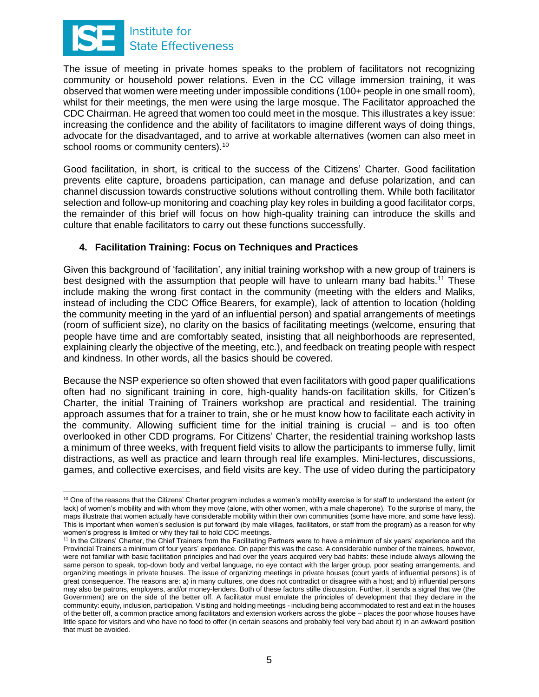

 $\overline{a}$ 

The issue of meeting in private homes speaks to the problem of facilitators not recognizing community or household power relations. Even in the CC village immersion training, it was observed that women were meeting under impossible conditions (100+ people in one small room), whilst for their meetings, the men were using the large mosque. The Facilitator approached the CDC Chairman. He agreed that women too could meet in the mosque. This illustrates a key issue: increasing the confidence and the ability of facilitators to imagine different ways of doing things, advocate for the disadvantaged, and to arrive at workable alternatives (women can also meet in school rooms or community centers).<sup>10</sup>

Good facilitation, in short, is critical to the success of the Citizens' Charter. Good facilitation prevents elite capture, broadens participation, can manage and defuse polarization, and can channel discussion towards constructive solutions without controlling them. While both facilitator selection and follow-up monitoring and coaching play key roles in building a good facilitator corps, the remainder of this brief will focus on how high-quality training can introduce the skills and culture that enable facilitators to carry out these functions successfully.

# **4. Facilitation Training: Focus on Techniques and Practices**

Given this background of 'facilitation', any initial training workshop with a new group of trainers is best designed with the assumption that people will have to unlearn many bad habits.<sup>11</sup> These include making the wrong first contact in the community (meeting with the elders and Maliks, instead of including the CDC Office Bearers, for example), lack of attention to location (holding the community meeting in the yard of an influential person) and spatial arrangements of meetings (room of sufficient size), no clarity on the basics of facilitating meetings (welcome, ensuring that people have time and are comfortably seated, insisting that all neighborhoods are represented, explaining clearly the objective of the meeting, etc.), and feedback on treating people with respect and kindness. In other words, all the basics should be covered.

Because the NSP experience so often showed that even facilitators with good paper qualifications often had no significant training in core, high-quality hands-on facilitation skills, for Citizen's Charter, the initial Training of Trainers workshop are practical and residential. The training approach assumes that for a trainer to train, she or he must know how to facilitate each activity in the community. Allowing sufficient time for the initial training is crucial – and is too often overlooked in other CDD programs. For Citizens' Charter, the residential training workshop lasts a minimum of three weeks, with frequent field visits to allow the participants to immerse fully, limit distractions, as well as practice and learn through real life examples. Mini-lectures, discussions, games, and collective exercises, and field visits are key. The use of video during the participatory

 $10$  One of the reasons that the Citizens' Charter program includes a women's mobility exercise is for staff to understand the extent (or lack) of women's mobility and with whom they move (alone, with other women, with a male chaperone). To the surprise of many, the maps illustrate that women actually have considerable mobility within their own communities (some have more, and some have less). This is important when women's seclusion is put forward (by male villages, facilitators, or staff from the program) as a reason for why women's progress is limited or why they fail to hold CDC meetings.

<sup>11</sup> In the Citizens' Charter, the Chief Trainers from the Facilitating Partners were to have a minimum of six years' experience and the Provincial Trainers a minimum of four years' experience. On paper this was the case. A considerable number of the trainees, however, were not familiar with basic facilitation principles and had over the years acquired very bad habits: these include always allowing the same person to speak, top-down body and verbal language, no eye contact with the larger group, poor seating arrangements, and organizing meetings in private houses. The issue of organizing meetings in private houses (court yards of influential persons) is of great consequence. The reasons are: a) in many cultures, one does not contradict or disagree with a host; and b) influential persons may also be patrons, employers, and/or money-lenders. Both of these factors stifle discussion. Further, it sends a signal that we (the Government) are on the side of the better off. A facilitator must emulate the principles of development that they declare in the community: equity, inclusion, participation. Visiting and holding meetings - including being accommodated to rest and eat in the houses of the better off, a common practice among facilitators and extension workers across the globe – places the poor whose houses have little space for visitors and who have no food to offer (in certain seasons and probably feel very bad about it) in an awkward position that must be avoided.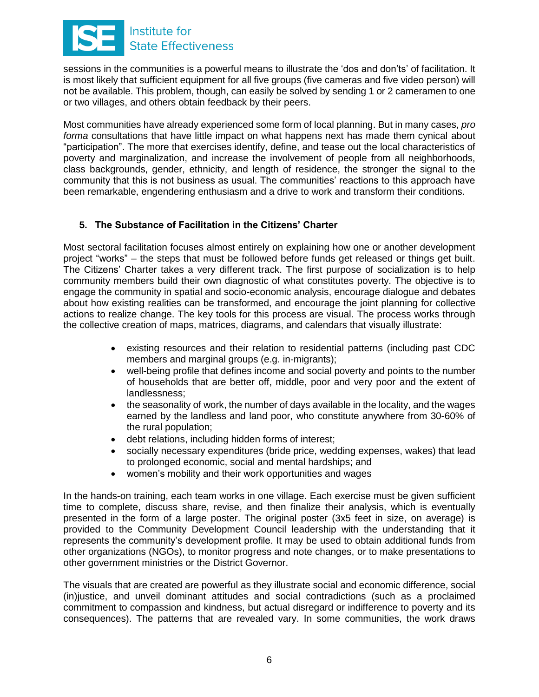

sessions in the communities is a powerful means to illustrate the 'dos and don'ts' of facilitation. It is most likely that sufficient equipment for all five groups (five cameras and five video person) will not be available. This problem, though, can easily be solved by sending 1 or 2 cameramen to one or two villages, and others obtain feedback by their peers.

Most communities have already experienced some form of local planning. But in many cases, *pro forma* consultations that have little impact on what happens next has made them cynical about "participation". The more that exercises identify, define, and tease out the local characteristics of poverty and marginalization, and increase the involvement of people from all neighborhoods, class backgrounds, gender, ethnicity, and length of residence, the stronger the signal to the community that this is not business as usual. The communities' reactions to this approach have been remarkable, engendering enthusiasm and a drive to work and transform their conditions.

# **5. The Substance of Facilitation in the Citizens' Charter**

Most sectoral facilitation focuses almost entirely on explaining how one or another development project "works" – the steps that must be followed before funds get released or things get built. The Citizens' Charter takes a very different track. The first purpose of socialization is to help community members build their own diagnostic of what constitutes poverty. The objective is to engage the community in spatial and socio-economic analysis, encourage dialogue and debates about how existing realities can be transformed, and encourage the joint planning for collective actions to realize change. The key tools for this process are visual. The process works through the collective creation of maps, matrices, diagrams, and calendars that visually illustrate:

- existing resources and their relation to residential patterns (including past CDC members and marginal groups (e.g. in-migrants);
- well-being profile that defines income and social poverty and points to the number of households that are better off, middle, poor and very poor and the extent of landlessness;
- the seasonality of work, the number of days available in the locality, and the wages earned by the landless and land poor, who constitute anywhere from 30-60% of the rural population;
- debt relations, including hidden forms of interest;
- socially necessary expenditures (bride price, wedding expenses, wakes) that lead to prolonged economic, social and mental hardships; and
- women's mobility and their work opportunities and wages

In the hands-on training, each team works in one village. Each exercise must be given sufficient time to complete, discuss share, revise, and then finalize their analysis, which is eventually presented in the form of a large poster. The original poster (3x5 feet in size, on average) is provided to the Community Development Council leadership with the understanding that it represents the community's development profile. It may be used to obtain additional funds from other organizations (NGOs), to monitor progress and note changes, or to make presentations to other government ministries or the District Governor.

The visuals that are created are powerful as they illustrate social and economic difference, social (in)justice, and unveil dominant attitudes and social contradictions (such as a proclaimed commitment to compassion and kindness, but actual disregard or indifference to poverty and its consequences). The patterns that are revealed vary. In some communities, the work draws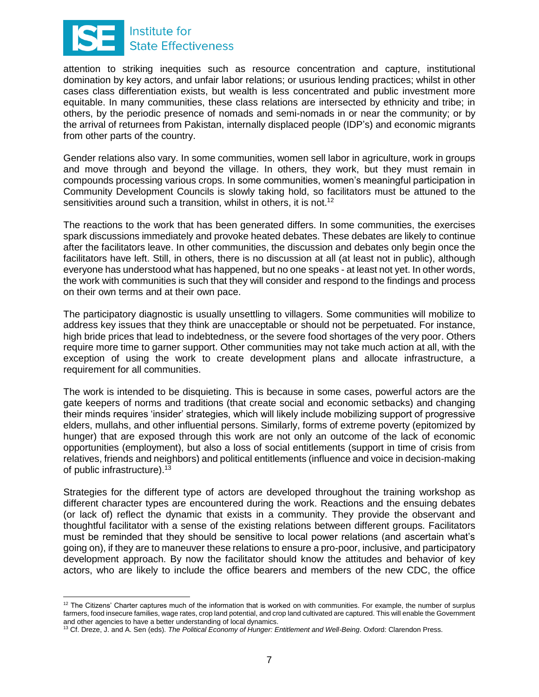

attention to striking inequities such as resource concentration and capture, institutional domination by key actors, and unfair labor relations; or usurious lending practices; whilst in other cases class differentiation exists, but wealth is less concentrated and public investment more equitable. In many communities, these class relations are intersected by ethnicity and tribe; in others, by the periodic presence of nomads and semi-nomads in or near the community; or by the arrival of returnees from Pakistan, internally displaced people (IDP's) and economic migrants from other parts of the country.

Gender relations also vary. In some communities, women sell labor in agriculture, work in groups and move through and beyond the village. In others, they work, but they must remain in compounds processing various crops. In some communities, women's meaningful participation in Community Development Councils is slowly taking hold, so facilitators must be attuned to the sensitivities around such a transition, whilst in others, it is not.<sup>12</sup>

The reactions to the work that has been generated differs. In some communities, the exercises spark discussions immediately and provoke heated debates. These debates are likely to continue after the facilitators leave. In other communities, the discussion and debates only begin once the facilitators have left. Still, in others, there is no discussion at all (at least not in public), although everyone has understood what has happened, but no one speaks - at least not yet. In other words, the work with communities is such that they will consider and respond to the findings and process on their own terms and at their own pace.

The participatory diagnostic is usually unsettling to villagers. Some communities will mobilize to address key issues that they think are unacceptable or should not be perpetuated. For instance, high bride prices that lead to indebtedness, or the severe food shortages of the very poor. Others require more time to garner support. Other communities may not take much action at all, with the exception of using the work to create development plans and allocate infrastructure, a requirement for all communities.

The work is intended to be disquieting. This is because in some cases, powerful actors are the gate keepers of norms and traditions (that create social and economic setbacks) and changing their minds requires 'insider' strategies, which will likely include mobilizing support of progressive elders, mullahs, and other influential persons. Similarly, forms of extreme poverty (epitomized by hunger) that are exposed through this work are not only an outcome of the lack of economic opportunities (employment), but also a loss of social entitlements (support in time of crisis from relatives, friends and neighbors) and political entitlements (influence and voice in decision-making of public infrastructure).<sup>13</sup>

Strategies for the different type of actors are developed throughout the training workshop as different character types are encountered during the work. Reactions and the ensuing debates (or lack of) reflect the dynamic that exists in a community. They provide the observant and thoughtful facilitator with a sense of the existing relations between different groups. Facilitators must be reminded that they should be sensitive to local power relations (and ascertain what's going on), if they are to maneuver these relations to ensure a pro-poor, inclusive, and participatory development approach. By now the facilitator should know the attitudes and behavior of key actors, who are likely to include the office bearers and members of the new CDC, the office

  $12$  The Citizens' Charter captures much of the information that is worked on with communities. For example, the number of surplus farmers, food insecure families, wage rates, crop land potential, and crop land cultivated are captured. This will enable the Government and other agencies to have a better understanding of local dynamics.

<sup>13</sup> Cf. Dreze, J. and A. Sen (eds). *The Political Economy of Hunger: Entitlement and Well-Being*. Oxford: Clarendon Press.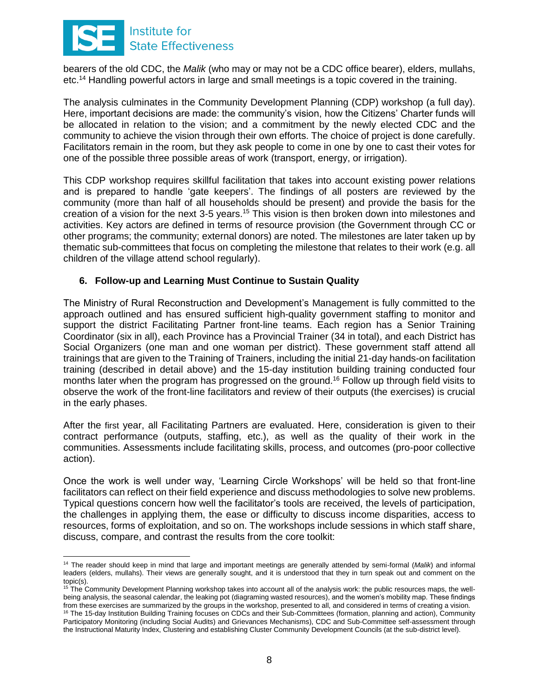

bearers of the old CDC, the *Malik* (who may or may not be a CDC office bearer), elders, mullahs, etc.<sup>14</sup> Handling powerful actors in large and small meetings is a topic covered in the training.

The analysis culminates in the Community Development Planning (CDP) workshop (a full day). Here, important decisions are made: the community's vision, how the Citizens' Charter funds will be allocated in relation to the vision; and a commitment by the newly elected CDC and the community to achieve the vision through their own efforts. The choice of project is done carefully. Facilitators remain in the room, but they ask people to come in one by one to cast their votes for one of the possible three possible areas of work (transport, energy, or irrigation).

This CDP workshop requires skillful facilitation that takes into account existing power relations and is prepared to handle 'gate keepers'. The findings of all posters are reviewed by the community (more than half of all households should be present) and provide the basis for the creation of a vision for the next 3-5 years.<sup>15</sup> This vision is then broken down into milestones and activities. Key actors are defined in terms of resource provision (the Government through CC or other programs; the community; external donors) are noted. The milestones are later taken up by thematic sub-committees that focus on completing the milestone that relates to their work (e.g. all children of the village attend school regularly).

#### **6. Follow-up and Learning Must Continue to Sustain Quality**

The Ministry of Rural Reconstruction and Development's Management is fully committed to the approach outlined and has ensured sufficient high-quality government staffing to monitor and support the district Facilitating Partner front-line teams. Each region has a Senior Training Coordinator (six in all), each Province has a Provincial Trainer (34 in total), and each District has Social Organizers (one man and one woman per district). These government staff attend all trainings that are given to the Training of Trainers, including the initial 21-day hands-on facilitation training (described in detail above) and the 15-day institution building training conducted four months later when the program has progressed on the ground.<sup>16</sup> Follow up through field visits to observe the work of the front-line facilitators and review of their outputs (the exercises) is crucial in the early phases.

After the first year, all Facilitating Partners are evaluated. Here, consideration is given to their contract performance (outputs, staffing, etc.), as well as the quality of their work in the communities. Assessments include facilitating skills, process, and outcomes (pro-poor collective action).

Once the work is well under way, 'Learning Circle Workshops' will be held so that front-line facilitators can reflect on their field experience and discuss methodologies to solve new problems. Typical questions concern how well the facilitator's tools are received, the levels of participation, the challenges in applying them, the ease or difficulty to discuss income disparities, access to resources, forms of exploitation, and so on. The workshops include sessions in which staff share, discuss, compare, and contrast the results from the core toolkit:

 <sup>14</sup> The reader should keep in mind that large and important meetings are generally attended by semi-formal (*Malik*) and informal leaders (elders, mullahs). Their views are generally sought, and it is understood that they in turn speak out and comment on the topic(s).

<sup>&</sup>lt;sup>15</sup> The Community Development Planning workshop takes into account all of the analysis work: the public resources maps, the wellbeing analysis, the seasonal calendar, the leaking pot (diagraming wasted resources), and the women's mobility map. These findings from these exercises are summarized by the groups in the workshop, presented to all, and considered in terms of creating a vision. <sup>16</sup> The 15-day Institution Building Training focuses on CDCs and their Sub-Committees (formation, planning and action), Community Participatory Monitoring (including Social Audits) and Grievances Mechanisms), CDC and Sub-Committee self-assessment through the Instructional Maturity Index, Clustering and establishing Cluster Community Development Councils (at the sub-district level).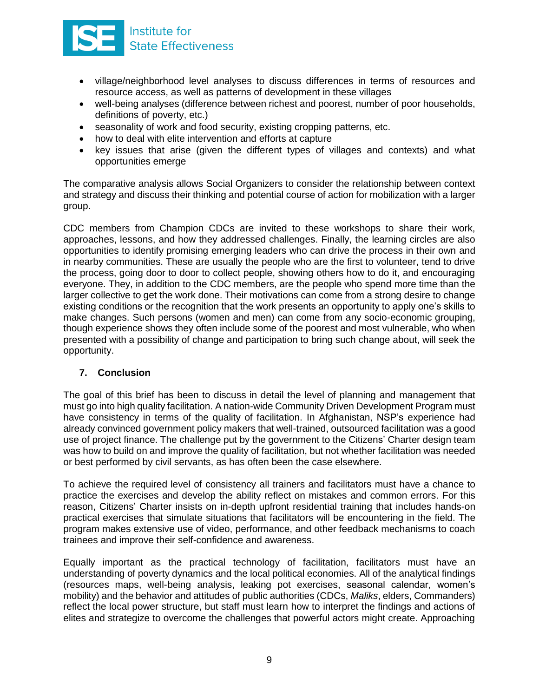

- village/neighborhood level analyses to discuss differences in terms of resources and resource access, as well as patterns of development in these villages
- well-being analyses (difference between richest and poorest, number of poor households, definitions of poverty, etc.)
- seasonality of work and food security, existing cropping patterns, etc.
- how to deal with elite intervention and efforts at capture
- key issues that arise (given the different types of villages and contexts) and what opportunities emerge

The comparative analysis allows Social Organizers to consider the relationship between context and strategy and discuss their thinking and potential course of action for mobilization with a larger group.

CDC members from Champion CDCs are invited to these workshops to share their work, approaches, lessons, and how they addressed challenges. Finally, the learning circles are also opportunities to identify promising emerging leaders who can drive the process in their own and in nearby communities. These are usually the people who are the first to volunteer, tend to drive the process, going door to door to collect people, showing others how to do it, and encouraging everyone. They, in addition to the CDC members, are the people who spend more time than the larger collective to get the work done. Their motivations can come from a strong desire to change existing conditions or the recognition that the work presents an opportunity to apply one's skills to make changes. Such persons (women and men) can come from any socio-economic grouping, though experience shows they often include some of the poorest and most vulnerable, who when presented with a possibility of change and participation to bring such change about, will seek the opportunity.

# **7. Conclusion**

The goal of this brief has been to discuss in detail the level of planning and management that must go into high quality facilitation. A nation-wide Community Driven Development Program must have consistency in terms of the quality of facilitation. In Afghanistan, NSP's experience had already convinced government policy makers that well-trained, outsourced facilitation was a good use of project finance. The challenge put by the government to the Citizens' Charter design team was how to build on and improve the quality of facilitation, but not whether facilitation was needed or best performed by civil servants, as has often been the case elsewhere.

To achieve the required level of consistency all trainers and facilitators must have a chance to practice the exercises and develop the ability reflect on mistakes and common errors. For this reason, Citizens' Charter insists on in-depth upfront residential training that includes hands-on practical exercises that simulate situations that facilitators will be encountering in the field. The program makes extensive use of video, performance, and other feedback mechanisms to coach trainees and improve their self-confidence and awareness.

Equally important as the practical technology of facilitation, facilitators must have an understanding of poverty dynamics and the local political economies. All of the analytical findings (resources maps, well-being analysis, leaking pot exercises, seasonal calendar, women's mobility) and the behavior and attitudes of public authorities (CDCs, *Maliks*, elders, Commanders) reflect the local power structure, but staff must learn how to interpret the findings and actions of elites and strategize to overcome the challenges that powerful actors might create. Approaching